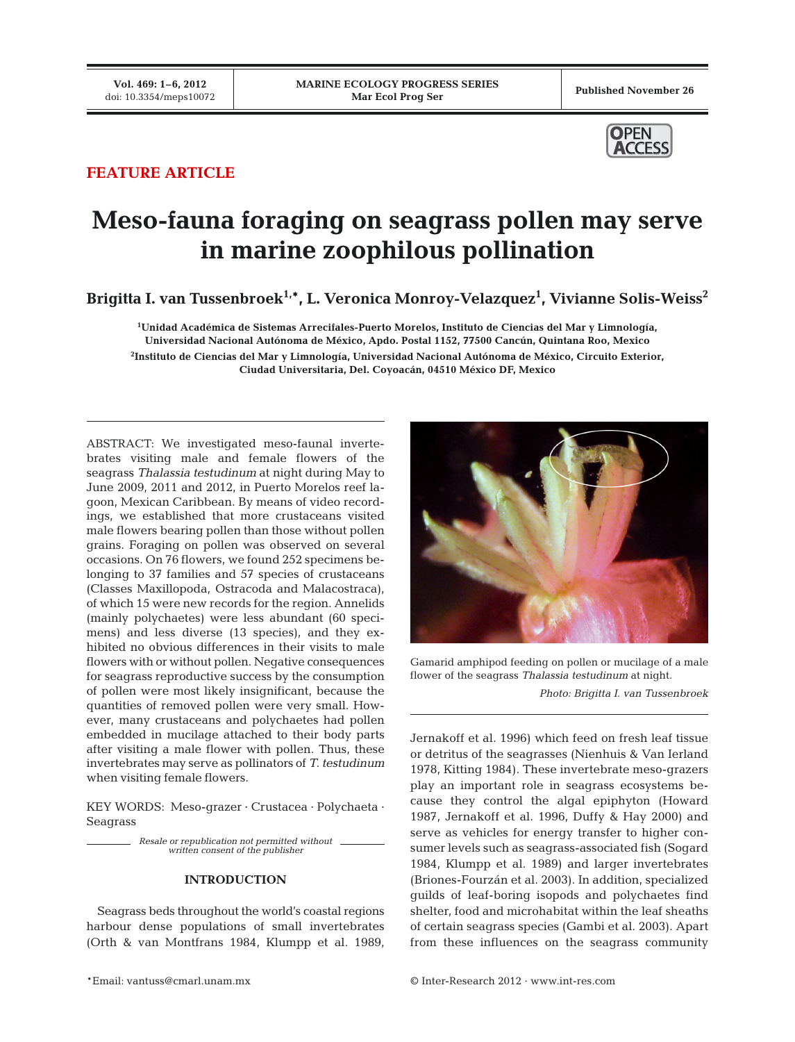

# **FEATURE ARTICLE**

# **Meso-fauna foraging on seagrass pollen may serve in marine zoophilous pollination**

Brigitta I. van Tussenbroek<sup>1,</sup>\*, L. Veronica Monroy-Velazquez<sup>1</sup>, Vivianne Solis-Weiss<sup>2</sup>

**1 Unidad Académica de Sistemas Arrecifales-Puerto Morelos, Instituto de Ciencias del Mar y Limnología, Universidad Nacional Autónoma de México, Apdo. Postal 1152, 77500 Cancún, Quintana Roo, Mexico 2 Instituto de Ciencias del Mar y Limnología, Universidad Nacional Autónoma de México, Circuito Exterior, Ciudad Universitaria, Del. Coyoacán, 04510 México DF, Mexico**

ABSTRACT: We investigated meso-faunal invertebrates visiting male and female flowers of the seagrass *Thalassia testudinum* at night during May to June 2009, 2011 and 2012, in Puerto Morelos reef lagoon, Mexican Caribbean. By means of video recordings, we established that more crustaceans visited male flowers bearing pollen than those without pollen grains. Foraging on pollen was observed on several occasions. On 76 flowers, we found 252 specimens belonging to 37 families and 57 species of crustaceans (Classes Maxillopoda, Ostracoda and Malacostraca), of which 15 were new records for the region. Annelids (mainly polychaetes) were less abundant (60 specimens) and less diverse (13 species), and they exhibited no obvious differences in their visits to male flowers with or without pollen. Negative consequences for seagrass reproductive success by the consumption of pollen were most likely insignificant, because the quantities of removed pollen were very small. However, many crustaceans and polychaetes had pollen embedded in mucilage attached to their body parts after visiting a male flower with pollen. Thus, these invertebrates may serve as pollinators of *T. testudinum* when visiting female flowers.

KEY WORDS: Meso-grazer · Crustacea · Polychaeta · Seagrass

*Resale or republication not permitted without written consent of the publisher*

## **INTRODUCTION**

Seagrass beds throughout the world's coastal regions harbour dense populations of small invertebrates (Orth & van Montfrans 1984, Klumpp et al. 1989,



Gamarid amphipod feeding on pollen or mucilage of a male flower of the seagrass *Thalassia testudinum* at night.

*Photo: Brigitta I. van Tussenbroek*

Jernakoff et al. 1996) which feed on fresh leaf tissue or detritus of the seagrasses (Nienhuis & Van Ierland 1978, Kitting 1984). These invertebrate meso-grazers play an important role in seagrass ecosystems be cause they control the algal epiphyton (Howard 1987, Jernakoff et al. 1996, Duffy & Hay 2000) and serve as vehicles for energy transfer to higher consumer levels such as seagrass-associated fish (Sogard 1984, Klumpp et al. 1989) and larger invertebrates (Briones-Fourzán et al. 2003). In addition, specialized guilds of leaf-boring isopods and polychaetes find shelter, food and microhabitat within the leaf sheaths of certain seagrass species (Gambi et al. 2003). Apart from these influences on the seagrass community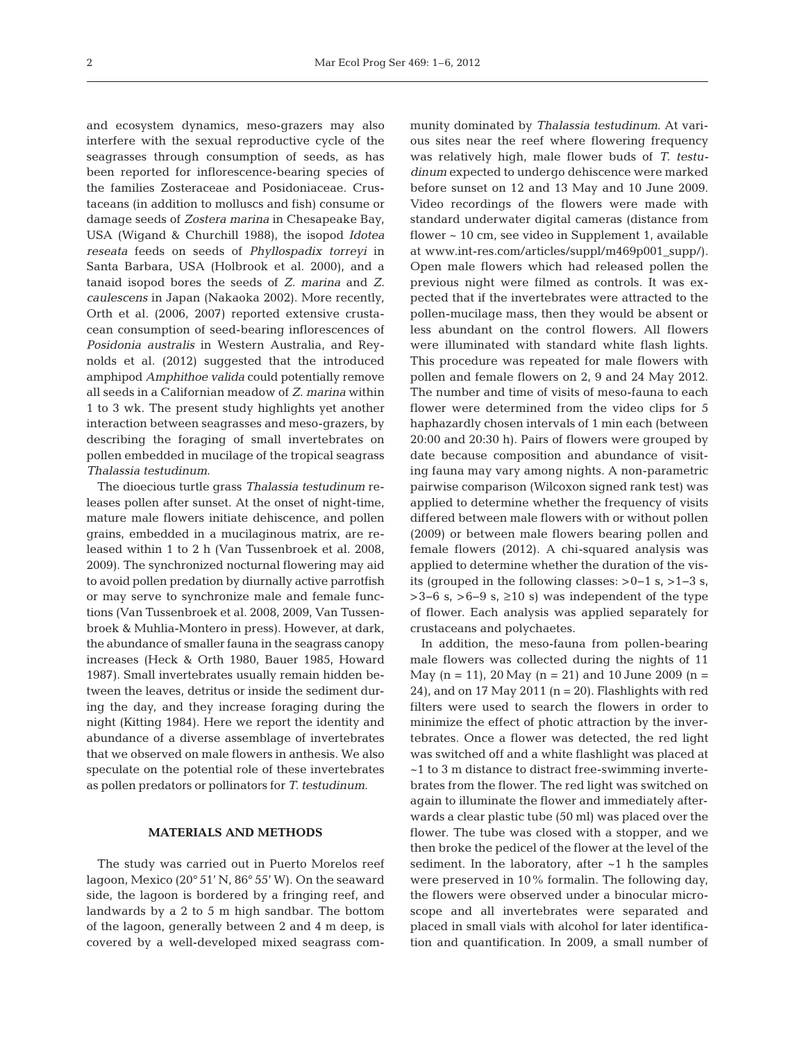and ecosystem dynamics, meso-grazers may also interfere with the sexual reproductive cycle of the seagrasses through consumption of seeds, as has been reported for inflorescence-bearing species of the families Zosteraceae and Posidoniaceae. Crustaceans (in addition to molluscs and fish) consume or damage seeds of *Zostera marina* in Chesapeake Bay, USA (Wigand & Churchill 1988), the isopod *Idotea reseata* feeds on seeds of *Phyllospadix torreyi* in Santa Barbara, USA (Holbrook et al. 2000), and a tanaid isopod bores the seeds of *Z. marina* and *Z. caulescens* in Japan (Nakaoka 2002). More recently, Orth et al. (2006, 2007) reported extensive crustacean consumption of seed-bearing inflorescences of Posidonia australis in Western Australia, and Reynolds et al. (2012) suggested that the introduced amphipod *Amphithoe valida* could potentially remove all seeds in a Californian meadow of *Z. marina* within 1 to 3 wk. The present study highlights yet another interaction between seagrasses and meso-grazers, by describing the foraging of small invertebrates on pollen em bedded in mucilage of the tropical seagrass *Thalassia testudinum*.

The dioecious turtle grass *Thalassia testudinum* releases pollen after sunset. At the onset of night-time, mature male flowers initiate dehiscence, and pollen grains, embedded in a mucilaginous matrix, are re leased within 1 to 2 h (Van Tussenbroek et al. 2008, 2009). The synchronized nocturnal flowering may aid to avoid pollen predation by diurnally active parrotfish or may serve to synchronize male and female functions (Van Tussenbroek et al. 2008, 2009, Van Tussenbroek & Muhlia-Montero in press). However, at dark, the abundance of smaller fauna in the seagrass canopy increases (Heck & Orth 1980, Bauer 1985, Howard 1987). Small invertebrates usually remain hidden between the leaves, detritus or inside the sediment during the day, and they increase foraging during the night (Kitting 1984). Here we report the identity and abundance of a diverse assemblage of invertebrates that we observed on male flowers in anthesis. We also speculate on the potential role of these invertebrates as pollen predators or pollinators for *T. testudinum*.

#### **MATERIALS AND METHODS**

The study was carried out in Puerto Morelos reef lagoon, Mexico (20° 51' N, 86° 55' W). On the seaward side, the lagoon is bordered by a fringing reef, and landwards by a 2 to 5 m high sandbar. The bottom of the lagoon, generally between 2 and 4 m deep, is covered by a well-developed mixed seagrass community dominated by *Thalassia testudinum*. At various sites near the reef where flowering frequency was relatively high, male flower buds of *T. testu dinum* expected to undergo dehiscence were marked before sunset on 12 and 13 May and 10 June 2009. Video recordings of the flowers were made with standard underwater digital cameras (distance from flower ~ 10 cm, see video in Supplement 1, available at www.int-res.com/articles/suppl/m469p001\_supp/). Open male flowers which had released pollen the previous night were filmed as controls. It was expected that if the invertebrates were attracted to the pollen-mucilage mass, then they would be absent or less abundant on the control flowers. All flowers were illuminated with standard white flash lights. This procedure was repeated for male flowers with pollen and female flowers on 2, 9 and 24 May 2012. The number and time of visits of meso-fauna to each flower were determined from the video clips for 5 haphazardly chosen intervals of 1 min each (between 20:00 and 20:30 h). Pairs of flowers were grouped by date because composition and abundance of visiting fauna may vary among nights. A non-parametric pair wise comparison (Wilcoxon signed rank test) was applied to determine whether the frequency of visits differed between male flowers with or without pollen (2009) or between male flowers bearing pollen and female flowers (2012). A chi-squared analysis was applied to determine whether the duration of the visits (grouped in the following classes: >0−1 s, >1−3 s, >3−6 s, >6−9 s, ≥10 s) was independent of the type of flower. Each analysis was applied separately for crustaceans and polychaetes.

In addition, the meso-fauna from pollen-bearing male flowers was collected during the nights of 11 May  $(n = 11)$ , 20 May  $(n = 21)$  and 10 June 2009  $(n = 11)$ 24), and on 17 May 2011 ( $n = 20$ ). Flashlights with red filters were used to search the flowers in order to minimize the effect of photic attraction by the invertebrates. Once a flower was detected, the red light was switched off and a white flashlight was placed at ~1 to 3 m distance to distract free-swimming invertebrates from the flower. The red light was switched on again to illuminate the flower and immediately afterwards a clear plastic tube (50 ml) was placed over the flower. The tube was closed with a stopper, and we then broke the pedicel of the flower at the level of the sediment. In the laboratory, after  $~1$  h the samples were preserved in 10% formalin. The following day, the flowers were observed under a binocular microscope and all invertebrates were separated and placed in small vials with alcohol for later identification and quantification. In 2009, a small number of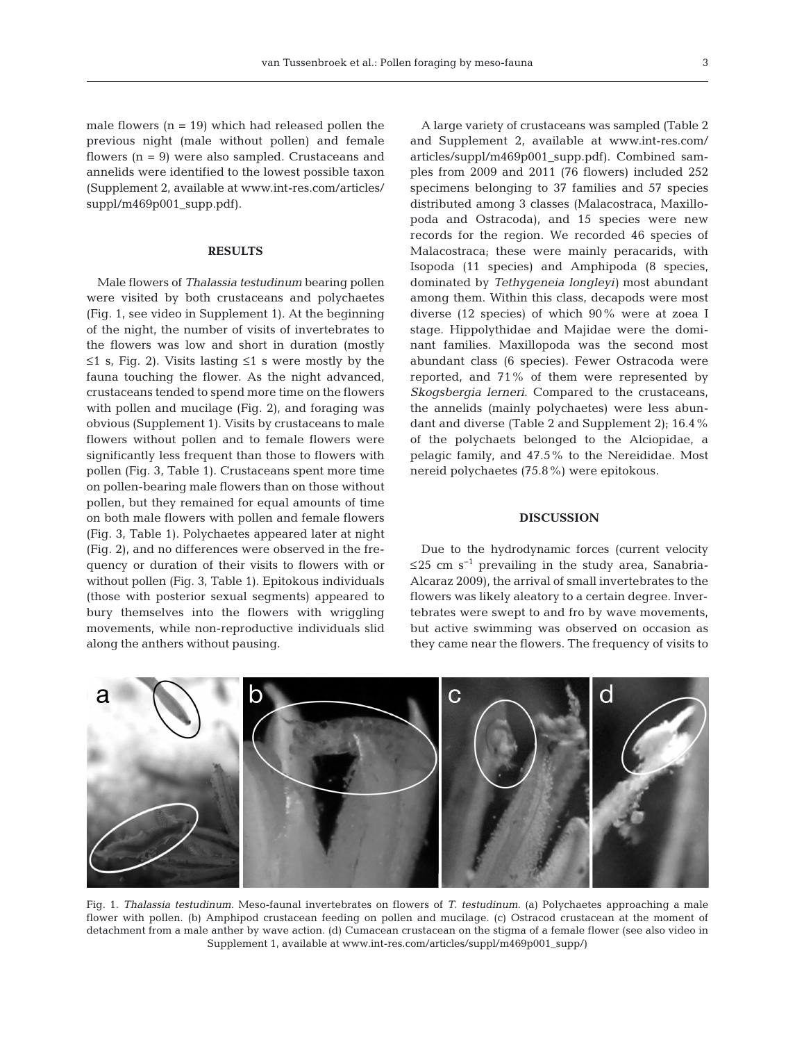male flowers  $(n = 19)$  which had released pollen the previous night (male without pollen) and female flowers  $(n = 9)$  were also sampled. Crustaceans and annelids were identified to the lowest possible taxon (Supplement 2, available at www.int-res.com/articles/ suppl/m469p001\_supp.pdf).

### **RESULTS**

Male flowers of *Thalassia testudinum* bearing pollen were visited by both crustaceans and polychaetes (Fig. 1, see video in Supplement 1). At the beginning of the night, the number of visits of invertebrates to the flowers was low and short in duration (mostly ≤1 s, Fig. 2). Visits lasting ≤1 s were mostly by the fauna touching the flower. As the night advanced, crusta ceans tended to spend more time on the flowers with pollen and mucilage (Fig. 2), and foraging was obvious (Supplement 1). Visits by crustaceans to male flowers without pollen and to female flowers were significantly less frequent than those to flowers with pollen (Fig. 3, Table 1). Crustaceans spent more time on pollen-bearing male flowers than on those without pollen, but they remained for equal amounts of time on both male flowers with pollen and female flowers (Fig. 3, Table 1). Polychaetes appeared later at night (Fig. 2), and no differences were observed in the frequency or duration of their visits to flowers with or without pollen (Fig. 3, Table 1). Epitokous individuals (those with posterior sexual segments) appeared to bury themselves into the flowers with wriggling movements, while non-reproductive individuals slid along the anthers without pausing.

A large variety of crustaceans was sampled (Table 2 and Supplement 2, available at www.int-res.com/ articles/suppl/m469p001\_supp.pdf). Combined samples from 2009 and 2011 (76 flowers) included 252 specimens belonging to 37 families and 57 species distributed among 3 classes (Malacostraca, Maxillopoda and Ostracoda), and 15 species were new records for the region. We recorded 46 species of Malacostraca; these were mainly peracarids, with Iso poda (11 species) and Amphipoda (8 species, dominated by *Tethygeneia longleyi)* most abundant among them. Within this class, decapods were most diverse (12 species) of which 90% were at zoea I stage. Hippolythidae and Majidae were the dominant families. Maxillopoda was the second most abundant class (6 species). Fewer Ostracoda were reported, and 71% of them were represented by *Skogsbergia lerneri*. Compared to the crustaceans, the annelids (mainly polychaetes) were less abundant and diverse (Table 2 and Supplement 2); 16.4% of the polychaets belonged to the Alciopidae, a pelagic family, and 47.5% to the Nereididae. Most nereid polychaetes (75.8%) were epitokous.

#### **DISCUSSION**

Due to the hydrodynamic forces (current velocity ≤25 cm s<sup>-1</sup> prevailing in the study area, Sanabria-Alcaraz 2009), the arrival of small invertebrates to the flowers was likely aleatory to a certain degree. Invertebrates were swept to and fro by wave movements, but active swimming was observed on occasion as they came near the flowers. The frequency of visits to



Fig. 1. *Thalassia testudinum.* Meso-faunal invertebrates on flowers of *T. testudinum.* (a) Polychaetes approaching a male flower with pollen. (b) Amphipod crustacean feeding on pollen and mucilage. (c) Ostracod crustacean at the moment of detachment from a male anther by wave action. (d) Cumacean crustacean on the stigma of a female flower (see also video in Supplement 1, available at www.int-res.com/articles/suppl/m469p001\_supp/)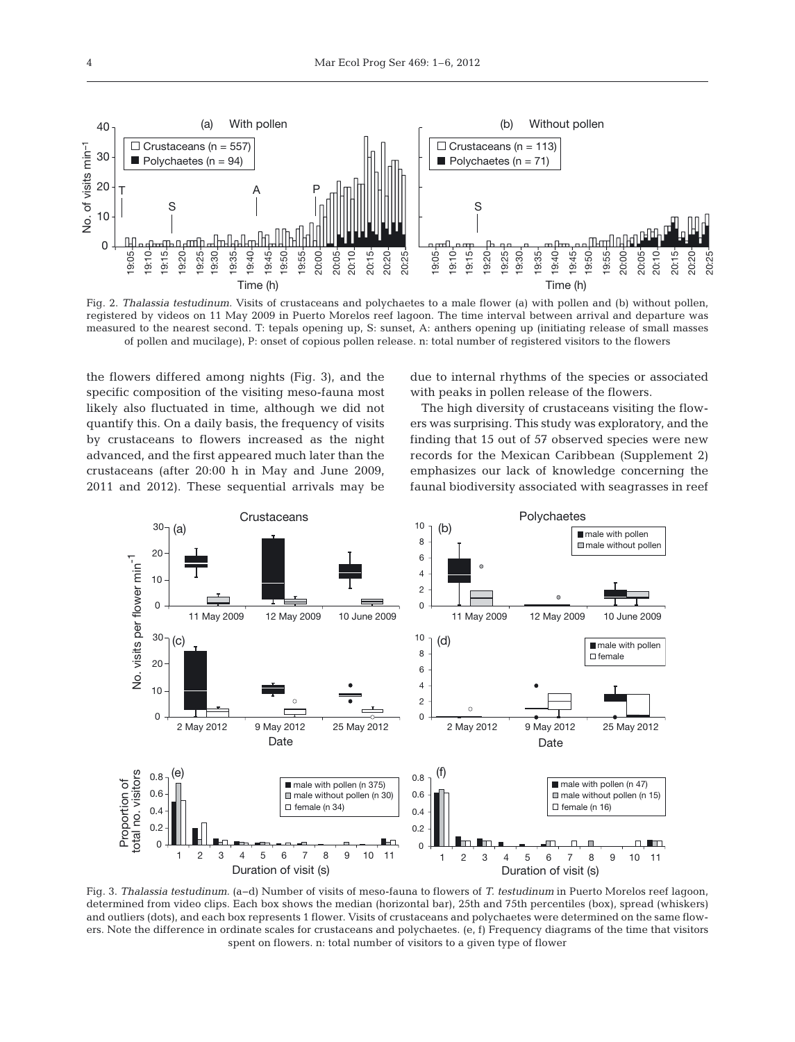

Fig. 2. *Thalassia testudinum.* Visits of crustaceans and polychaetes to a male flower (a) with pollen and (b) without pollen, registered by videos on 11 May 2009 in Puerto Morelos reef lagoon. The time interval between arrival and departure was measured to the nearest second. T: tepals opening up, S: sunset, A: anthers opening up (initiating release of small masses of pollen and mucilage), P: onset of copious pollen release. n: total number of registered visitors to the flowers

the flowers differed among nights (Fig. 3), and the specific composition of the visiting meso-fauna most likely also fluctuated in time, although we did not quantify this. On a daily basis, the frequency of visits by crustaceans to flowers increased as the night advanced, and the first appeared much later than the crusta ceans (after 20:00 h in May and June 2009, 2011 and 2012). These sequential arrivals may be due to internal rhythms of the species or associated with peaks in pollen release of the flowers.

The high diversity of crustaceans visiting the flowers was surprising. This study was exploratory, and the finding that 15 out of 57 observed species were new records for the Mexican Caribbean (Supplement 2) emphasizes our lack of knowledge concerning the faunal biodiversity associated with seagrasses in reef



Fig. 3. *Thalassia testudinum.* (a−d) Number of visits of meso-fauna to flowers of *T. testudinum* in Puerto Morelos reef lagoon, determined from video clips. Each box shows the median (horizontal bar), 25th and 75th percentiles (box), spread (whiskers) and outliers (dots), and each box represents 1 flower. Visits of crustaceans and polychaetes were determined on the same flowers. Note the difference in ordinate scales for crustaceans and polychaetes. (e, f) Frequency diagrams of the time that visitors spent on flowers. n: total number of visitors to a given type of flower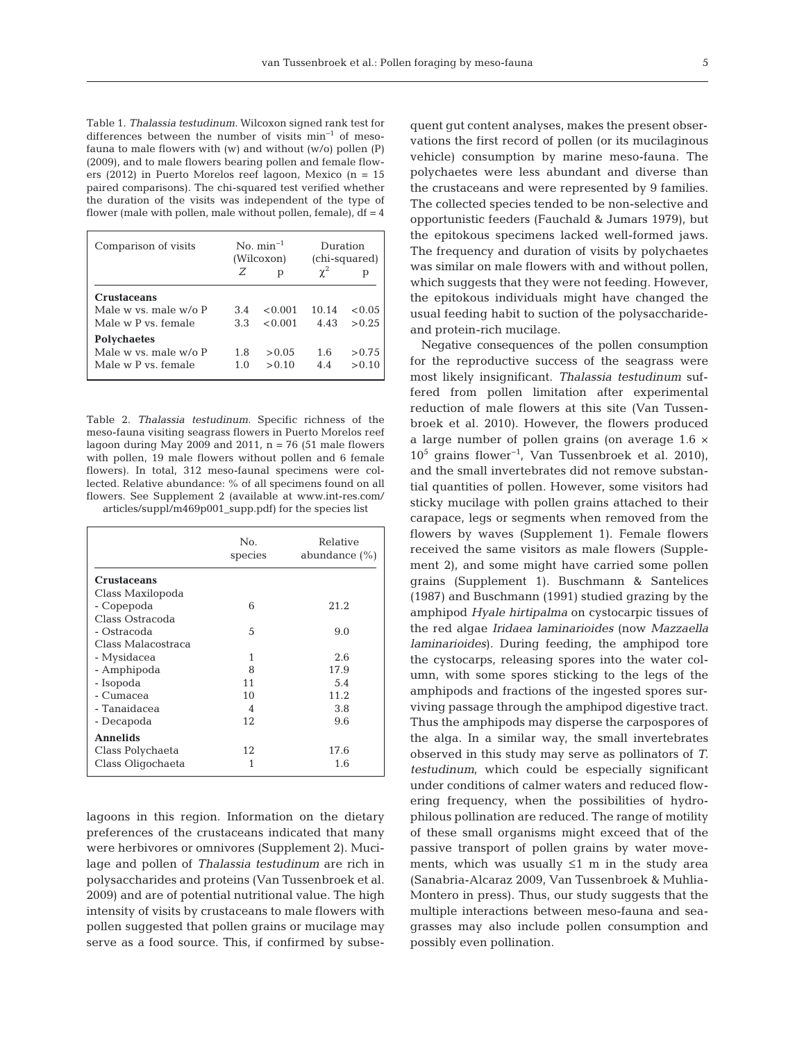Table 1. *Thalassia testudinum.* Wilcoxon signed rank test for differences between the number of visits min−1 of mesofauna to male flowers with (w) and without (w/o) pollen (P) (2009), and to male flowers bearing pollen and female flowers (2012) in Puerto Morelos reef lagoon, Mexico (n = 15 paired comparisons). The chi-squared test verified whether the duration of the visits was independent of the type of flower (male with pollen, male without pollen, female),  $df = 4$ 

| Comparison of visits  | $\mathrm{No.}$ min <sup>-1</sup><br>(Wilcoxon) |         | Duration<br>(chi-squared) |        |
|-----------------------|------------------------------------------------|---------|---------------------------|--------|
|                       | Z                                              | р       | $\gamma^2$                |        |
| <b>Crustaceans</b>    |                                                |         |                           |        |
| Male w ys. male w/o P | 3.4                                            | < 0.001 | 10.14                     | < 0.05 |
| Male w P vs. female   | 3.3                                            | < 0.001 | 4.43                      | > 0.25 |
| <b>Polychaetes</b>    |                                                |         |                           |        |
| Male w ys. male w/o P | 1.8                                            | > 0.05  | 1.6                       | > 0.75 |
| Male w P vs. female   | 1.0                                            | > 0.10  | 4.4                       | > 0.10 |

Table 2. *Thalassia testudinum.* Specific richness of the meso-fauna visiting seagrass flowers in Puerto Morelos reef lagoon during May 2009 and 2011,  $n = 76$  (51 male flowers with pollen, 19 male flowers without pollen and 6 female flowers). In total, 312 meso-faunal specimens were collected. Relative abundance: % of all specimens found on all flowers. See Supplement 2 (available at www.int-res. com/ articles/ suppl/m469p001\_supp.pdf) for the species list

|                    | No.<br>species | Relative<br>abundance (%) |
|--------------------|----------------|---------------------------|
| <b>Crustaceans</b> |                |                           |
| Class Maxilopoda   |                |                           |
| - Copepoda         | 6              | 21.2                      |
| Class Ostracoda    |                |                           |
| - Ostracoda        | 5              | 9.0                       |
| Class Malacostraca |                |                           |
| - Mysidacea        | 1              | 2.6                       |
| - Amphipoda        | 8              | 17.9                      |
| - Isopoda          | 11             | 5.4                       |
| - Cumacea          | 10             | 11.2                      |
| - Tanaidacea       | 4              | 3.8                       |
| - Decapoda         | 12             | 9.6                       |
| <b>Annelids</b>    |                |                           |
| Class Polychaeta   | 12             | 17.6                      |
| Class Oligochaeta  | 1              | 1.6                       |

lagoons in this region. Information on the dietary preferences of the crustaceans indicated that many were herbivores or omnivores (Supplement 2). Muci lage and pollen of *Thalassia testudinum* are rich in polysaccharides and proteins (Van Tussenbroek et al. 2009) and are of potential nutritional value. The high intensity of visits by crustaceans to male flowers with pollen suggested that pollen grains or mucilage may serve as a food source. This, if confirmed by subsequent gut content analyses, makes the present observations the first record of pollen (or its mucilaginous vehicle) consumption by marine meso-fauna. The polychaetes were less abundant and diverse than the crustaceans and were represented by 9 families. The collected species tended to be non-selective and opportunistic feeders (Fauchald & Jumars 1979), but the epitokous specimens lacked well-formed jaws. The frequency and duration of visits by polychaetes was similar on male flowers with and without pollen, which suggests that they were not feeding. However, the epitokous individuals might have changed the usual feeding habit to suction of the polysaccharideand protein-rich mucilage.

Negative consequences of the pollen consumption for the reproductive success of the seagrass were most likely insignificant. *Thalassia testudinum* suffered from pollen limitation after experimental reduction of male flowers at this site (Van Tussenbroek et al. 2010). However, the flowers produced a large number of pollen grains (on average 1.6 × 105 grains flower−1, Van Tussenbroek et al. 2010), and the small invertebrates did not remove substantial quantities of pollen. However, some visitors had sticky mucilage with pollen grains attached to their carapace, legs or segments when removed from the flowers by waves (Supplement 1). Female flowers received the same visitors as male flowers (Supplement 2), and some might have carried some pollen grains (Supplement 1). Buschmann & Santelices (1987) and Buschmann (1991) studied grazing by the amphipod *Hyale hirtipalma* on cystocarpic tissues of the red algae *Iridaea laminarioides* (now *Mazzaella laminarioides*). During feeding, the amphipod tore the cystocarps, releasing spores into the water column, with some spores sticking to the legs of the amphipods and fractions of the ingested spores surviving passage through the amphipod digestive tract. Thus the amphipods may disperse the carpospores of the alga. In a similar way, the small invertebrates observed in this study may serve as pollinators of *T. testudinum*, which could be especially significant under conditions of calmer waters and reduced flowering frequency, when the possibilities of hydrophilous pollination are reduced. The range of motility of these small organisms might exceed that of the passive transport of pollen grains by water movements, which was usually ≤1 m in the study area (Sanabria-Alcaraz 2009, Van Tussenbroek & Muhlia-Montero in press). Thus, our study suggests that the multiple interactions between meso-fauna and seagrasses may also include pollen consumption and possibly even pollination.